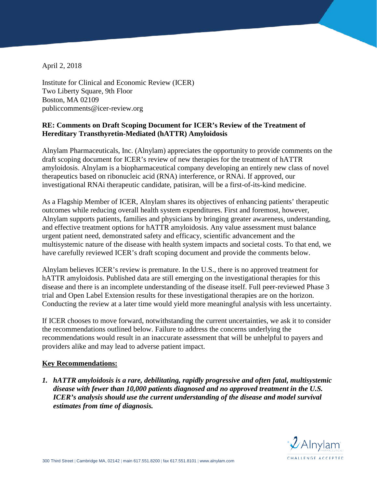April 2, 2018

Institute for Clinical and Economic Review (ICER) Two Liberty Square, 9th Floor Boston, MA 02109 publiccomments@icer-review.org

# **RE: Comments on Draft Scoping Document for ICER's Review of the Treatment of Hereditary Transthyretin-Mediated (hATTR) Amyloidosis**

Alnylam Pharmaceuticals, Inc. (Alnylam) appreciates the opportunity to provide comments on the draft scoping document for ICER's review of new therapies for the treatment of hATTR amyloidosis. Alnylam is a biopharmaceutical company developing an entirely new class of novel therapeutics based on ribonucleic acid (RNA) interference, or RNAi. If approved, our investigational RNAi therapeutic candidate, patisiran, will be a first-of-its-kind medicine.

As a Flagship Member of ICER, Alnylam shares its objectives of enhancing patients' therapeutic outcomes while reducing overall health system expenditures. First and foremost, however, Alnylam supports patients, families and physicians by bringing greater awareness, understanding, and effective treatment options for hATTR amyloidosis. Any value assessment must balance urgent patient need, demonstrated safety and efficacy, scientific advancement and the multisystemic nature of the disease with health system impacts and societal costs. To that end, we have carefully reviewed ICER's draft scoping document and provide the comments below.

Alnylam believes ICER's review is premature. In the U.S., there is no approved treatment for hATTR amyloidosis. Published data are still emerging on the investigational therapies for this disease and there is an incomplete understanding of the disease itself. Full peer-reviewed Phase 3 trial and Open Label Extension results for these investigational therapies are on the horizon. Conducting the review at a later time would yield more meaningful analysis with less uncertainty.

If ICER chooses to move forward, notwithstanding the current uncertainties, we ask it to consider the recommendations outlined below. Failure to address the concerns underlying the recommendations would result in an inaccurate assessment that will be unhelpful to payers and providers alike and may lead to adverse patient impact.

#### **Key Recommendations:**

*1. hATTR amyloidosis is a rare, debilitating, rapidly progressive and often fatal, multisystemic disease with fewer than 10,000 patients diagnosed and no approved treatment in the U.S. ICER's analysis should use the current understanding of the disease and model survival estimates from time of diagnosis.* 

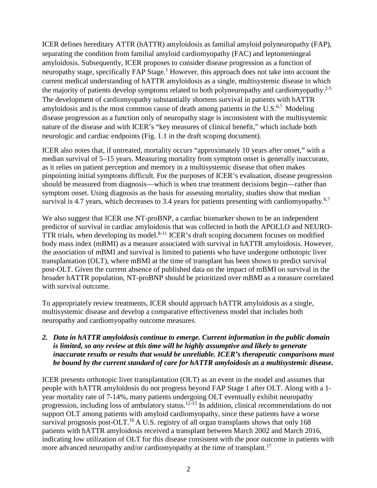ICER defines hereditary ATTR (hATTR) amyloidosis as familial amyloid polyneuropathy (FAP), separating the condition from familial amyloid cardiomyopathy (FAC) and leptomeningeal amyloidosis. Subsequently, ICER proposes to consider disease progression as a function of neuropathy stage, specifically FAP Stage.<sup>1</sup> However, this approach does not take into account the current medical understanding of hATTR amyloidosis as a single, multisystemic disease in which the majority of patients develop symptoms related to both polyneuropathy and cardiomyopathy.<sup>2-5</sup> The development of cardiomyopathy substantially shortens survival in patients with hATTR amyloidosis and is the most common cause of death among patients in the  $U.S.^{6,7}$  Modeling disease progression as a function only of neuropathy stage is inconsistent with the multisystemic nature of the disease and with ICER's "key measures of clinical benefit," which include both neurologic and cardiac endpoints (Fig. 1.1 in the draft scoping document).

ICER also notes that, if untreated, mortality occurs "approximately 10 years after onset," with a median survival of 5–15 years. Measuring mortality from symptom onset is generally inaccurate, as it relies on patient perception and memory in a multisystemic disease that often makes pinpointing initial symptoms difficult. For the purposes of ICER's evaluation, disease progression should be measured from diagnosis—which is when true treatment decisions begin—rather than symptom onset. Using diagnosis as the basis for assessing mortality, studies show that median survival is 4.7 years, which decreases to 3.4 years for patients presenting with cardiomyopathy.<sup>6,7</sup>

We also suggest that ICER use NT-proBNP, a cardiac biomarker shown to be an independent predictor of survival in cardiac amyloidosis that was collected in both the APOLLO and NEURO-TTR trials, when developing its model.<sup>8-11</sup> ICER's draft scoping document focuses on modified body mass index (mBMI) as a measure associated with survival in hATTR amyloidosis. However, the association of mBMI and survival is limited to patients who have undergone orthotopic liver transplantation (OLT), where mBMI at the time of transplant has been shown to predict survival post-OLT. Given the current absence of published data on the impact of mBMI on survival in the broader hATTR population, NT-proBNP should be prioritized over mBMI as a measure correlated with survival outcome.

To appropriately review treatments, ICER should approach hATTR amyloidosis as a single, multisystemic disease and develop a comparative effectiveness model that includes both neuropathy and cardiomyopathy outcome measures.

*2. Data in hATTR amyloidosis continue to emerge. Current information in the public domain is limited, so any review at this time will be highly assumptive and likely to generate inaccurate results or results that would be unreliable. ICER's therapeutic comparisons must be bound by the current standard of care for hATTR amyloidosis as a multisystemic disease.*

ICER presents orthotopic liver transplantation (OLT) as an event in the model and assumes that people with hATTR amyloidosis do not progress beyond FAP Stage 1 after OLT. Along with a 1 year mortality rate of 7-14%, many patients undergoing OLT eventually exhibit neuropathy progression, including loss of ambulatory status.<sup>12-15</sup> In addition, clinical recommendations do not support OLT among patients with amyloid cardiomyopathy, since these patients have a worse survival prognosis post-OLT.<sup>16</sup> A U.S. registry of all organ transplants shows that only 168 patients with hATTR amyloidosis received a transplant between March 2002 and March 2016, indicating low utilization of OLT for this disease consistent with the poor outcome in patients with more advanced neuropathy and/or cardiomyopathy at the time of transplant.<sup>17</sup>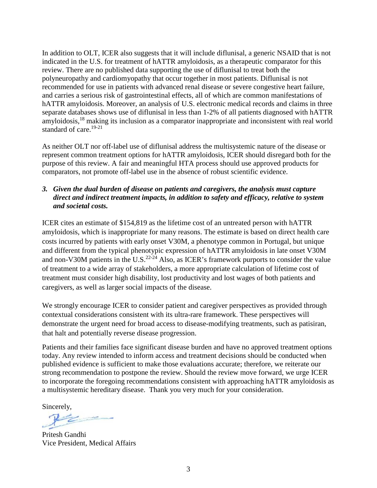In addition to OLT, ICER also suggests that it will include diflunisal, a generic NSAID that is not indicated in the U.S. for treatment of hATTR amyloidosis, as a therapeutic comparator for this review. There are no published data supporting the use of diflunisal to treat both the polyneuropathy and cardiomyopathy that occur together in most patients. Diflunisal is not recommended for use in patients with advanced renal disease or severe congestive heart failure, and carries a serious risk of gastrointestinal effects, all of which are common manifestations of hATTR amyloidosis. Moreover, an analysis of U.S. electronic medical records and claims in three separate databases shows use of diflunisal in less than 1-2% of all patients diagnosed with hATTR amyloidosis,<sup>18</sup> making its inclusion as a comparator inappropriate and inconsistent with real world standard of care.<sup>19-21</sup>

As neither OLT nor off-label use of diflunisal address the multisystemic nature of the disease or represent common treatment options for hATTR amyloidosis, ICER should disregard both for the purpose of this review. A fair and meaningful HTA process should use approved products for comparators, not promote off-label use in the absence of robust scientific evidence.

## *3. Given the dual burden of disease on patients and caregivers, the analysis must capture direct and indirect treatment impacts, in addition to safety and efficacy, relative to system and societal costs.*

ICER cites an estimate of \$154,819 as the lifetime cost of an untreated person with hATTR amyloidosis, which is inappropriate for many reasons. The estimate is based on direct health care costs incurred by patients with early onset V30M, a phenotype common in Portugal, but unique and different from the typical phenotypic expression of hATTR amyloidosis in late onset V30M and non-V30M patients in the U.S. $^{22-24}$  Also, as ICER's framework purports to consider the value of treatment to a wide array of stakeholders, a more appropriate calculation of lifetime cost of treatment must consider high disability, lost productivity and lost wages of both patients and caregivers, as well as larger social impacts of the disease.

We strongly encourage ICER to consider patient and caregiver perspectives as provided through contextual considerations consistent with its ultra-rare framework. These perspectives will demonstrate the urgent need for broad access to disease-modifying treatments, such as patisiran, that halt and potentially reverse disease progression.

Patients and their families face significant disease burden and have no approved treatment options today. Any review intended to inform access and treatment decisions should be conducted when published evidence is sufficient to make those evaluations accurate; therefore, we reiterate our strong recommendation to postpone the review. Should the review move forward, we urge ICER to incorporate the foregoing recommendations consistent with approaching hATTR amyloidosis as a multisystemic hereditary disease. Thank you very much for your consideration.

Sincerely,

Pritesh Gandhi Vice President, Medical Affairs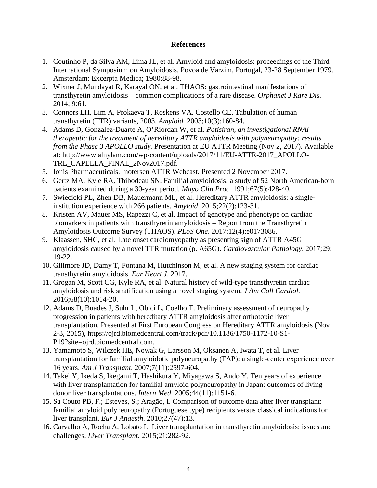#### **References**

- 1. Coutinho P, da Silva AM, Lima JL, et al. Amyloid and amyloidosis: proceedings of the Third International Symposium on Amyloidosis, Povoa de Varzim, Portugal, 23-28 September 1979. Amsterdam: Excerpta Medica; 1980:88-98.
- 2. Wixner J, Mundayat R, Karayal ON, et al. THAOS: gastrointestinal manifestations of transthyretin amyloidosis – common complications of a rare disease. *Orphanet J Rare Dis.*  2014; 9:61.
- 3. Connors LH, Lim A, Prokaeva T, Roskens VA, Costello CE. Tabulation of human transthyretin (TTR) variants, 2003. *Amyloid.* 2003;10(3):160-84.
- 4. Adams D, Gonzalez-Duarte A, O'Riordan W, et al. *Patisiran, an investigational RNAi therapeutic for the treatment of hereditary ATTR amyloidosis with polyneuropathy: results from the Phase 3 APOLLO study.* Presentation at EU ATTR Meeting (Nov 2, 2017). Available at: http://www.alnylam.com/wp-content/uploads/2017/11/EU-ATTR-2017\_APOLLO-TRL\_CAPELLA\_FINAL\_2Nov2017.pdf.
- 5. Ionis Pharmaceuticals. Inotersen ATTR Webcast. Presented 2 November 2017.
- 6. Gertz MA, Kyle RA, Thibodeau SN. Familial amyloidosis: a study of 52 North American-born patients examined during a 30-year period. *Mayo Clin Proc.* 1991;67(5):428-40.
- 7. Swiecicki PL, Zhen DB, Mauermann ML, et al. Hereditary ATTR amyloidosis: a singleinstitution experience with 266 patients. *Amyloid*. 2015;22(2):123-31.
- 8. Kristen AV, Mauer MS, Rapezzi C, et al. Impact of genotype and phenotype on cardiac biomarkers in patients with transthyretin amyloidosis – Report from the Transthyretin Amyloidosis Outcome Survey (THAOS). *PLoS One*. 2017;12(4):e0173086.
- 9. Klaassen, SHC, et al. Late onset cardiomyopathy as presenting sign of ATTR A45G amyloidosis caused by a novel TTR mutation (p. A65G). *Cardiovascular Pathology*. 2017;29: 19-22.
- 10. Gillmore JD, Damy T, Fontana M, Hutchinson M, et al. A new staging system for cardiac transthyretin amyloidosis. *Eur Heart J*. 2017.
- 11. Grogan M, Scott CG, Kyle RA, et al. Natural history of wild-type transthyretin cardiac amyloidosis and risk stratification using a novel staging system. *J Am Coll Cardiol.*  2016;68(10):1014-20.
- 12. Adams D, Buades J, Suhr L, Obici L, Coelho T. Preliminary assessment of neuropathy progression in patients with hereditary ATTR amyloidosis after orthotopic liver transplantation. Presented at First European Congress on Hereditary ATTR amyloidosis (Nov 2-3, 2015), https://ojrd.biomedcentral.com/track/pdf/10.1186/1750-1172-10-S1- P19?site=ojrd.biomedcentral.com.
- 13. Yamamoto S, Wilczek HE, Nowak G, Larsson M, Oksanen A, Iwata T, et al. Liver transplantation for familial amyloidotic polyneuropathy (FAP): a single-center experience over 16 years. *Am J Transplant*. 2007;7(11):2597-604.
- 14. Takei Y, Ikeda S, Ikegami T, Hashikura Y, Miyagawa S, Ando Y. Ten years of experience with liver transplantation for familial amyloid polyneuropathy in Japan: outcomes of living donor liver transplantations. *Intern Med*. 2005;44(11):1151-6.
- 15. Sa Couto PB, F.; Esteves, S.; Aragão, I. Comparison of outcome data after liver transplant: familial amyloid polyneuropathy (Portuguese type) recipients versus classical indications for liver transplant. *Eur J Anaesth*. 2010;27(47):13.
- 16. Carvalho A, Rocha A, Lobato L. Liver transplantation in transthyretin amyloidosis: issues and challenges. *Liver Transplant.* 2015;21:282-92.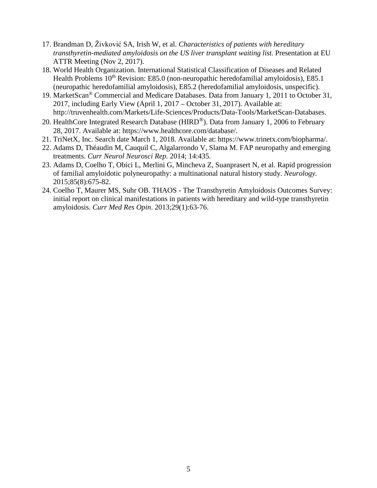- 17. Brandman D, Živković SA, Irish W, et al. *Characteristics of patients with hereditary transthyretin-mediated amyloidosis on the US liver transplant waiting list.* Presentation at EU ATTR Meeting (Nov 2, 2017).
- 18. World Health Organization. International Statistical Classification of Diseases and Related Health Problems 10<sup>th</sup> Revision: E85.0 (non-neuropathic heredofamilial amyloidosis), E85.1 (neuropathic heredofamilial amyloidosis), E85.2 (heredofamilial amyloidosis, unspecific).
- 19. MarketScan® Commercial and Medicare Databases. Data from January 1, 2011 to October 31, 2017, including Early View (April 1, 2017 – October 31, 2017). Available at: http://truvenhealth.com/Markets/Life-Sciences/Products/Data-Tools/MarketScan-Databases.
- 20. HealthCore Integrated Research Database (HIRD<sup>®</sup>). Data from January 1, 2006 to February 28, 2017. Available at: https://www.healthcore.com/database/.
- 21. TriNetX, Inc. Search date March 1, 2018. Available at: https://www.trinetx.com/biopharma/.
- 22. Adams D, Théaudin M, Cauquil C, Algalarrondo V, Slama M. FAP neuropathy and emerging treatments. *Curr Neurol Neurosci Rep.* 2014; 14:435.
- 23. Adams D, Coelho T, Obici L, Merlini G, Mincheva Z, Suanprasert N, et al. Rapid progression of familial amyloidotic polyneuropathy: a multinational natural history study. *Neurology*. 2015;85(8):675-82.
- 24. Coelho T, Maurer MS, Suhr OB. THAOS The Transthyretin Amyloidosis Outcomes Survey: initial report on clinical manifestations in patients with hereditary and wild-type transthyretin amyloidosis. *Curr Med Res Opin*. 2013;29(1):63-76.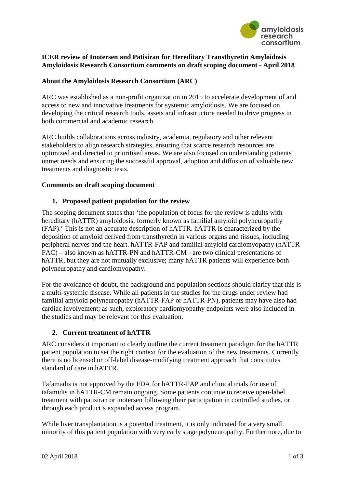

## **ICER review of Inotersen and Patisiran for Hereditary Transthyretin Amyloidosis Amyloidosis Research Consortium comments on draft scoping document - April 2018**

## **About the Amyloidosis Research Consortium (ARC)**

ARC was established as a non-profit organization in 2015 to accelerate development of and access to new and innovative treatments for systemic amyloidosis. We are focused on developing the critical research tools, assets and infrastructure needed to drive progress in both commercial and academic research.

ARC builds collaborations across industry, academia, regulatory and other relevant stakeholders to align research strategies, ensuring that scarce research resources are optimized and directed to prioritised areas. We are also focused on understanding patients' unmet needs and ensuring the successful approval, adoption and diffusion of valuable new treatments and diagnostic tests.

#### **Comments on draft scoping document**

### **1. Proposed patient population for the review**

The scoping document states that 'the population of focus for the review is adults with hereditary (hATTR) amyloidosis, formerly known as familial amyloid polyneuropathy (FAP).' This is not an accurate description of hATTR. hATTR is characterized by the deposition of amyloid derived from transthyretin in various organs and tissues, including peripheral nerves and the heart. hATTR-FAP and familial amyloid cardiomyopathy (hATTR-FAC) – also known as hATTR-PN and hATTR-CM - are two clinical presentations of hATTR, but they are not mutually exclusive; many hATTR patients will experience both polyneuropathy and cardiomyopathy.

For the avoidance of doubt, the background and population sections should clarify that this is a multi-systemic disease. While all patients in the studies for the drugs under review had familial amyloid polyneuropathy (hATTR-FAP or hATTR-PN), patients may have also had cardiac involvement; as such, exploratory cardiomyopathy endpoints were also included in the studies and may be relevant for this evaluation.

#### **2. Current treatment of hATTR**

ARC considers it important to clearly outline the current treatment paradigm for the hATTR patient population to set the right context for the evaluation of the new treatments. Currently there is no licensed or off-label disease-modifying treatment approach that constitutes standard of care in hATTR.

Tafamadis is not approved by the FDA for hATTR-FAP and clinical trials for use of tafamidis in hATTR-CM remain ongoing. Some patients continue to receive open-label treatment with patisiran or inotersen following their participation in controlled studies, or through each product's expanded access program.

While liver transplantation is a potential treatment, it is only indicated for a very small minority of this patient population with very early stage polyneuropathy. Furthermore, due to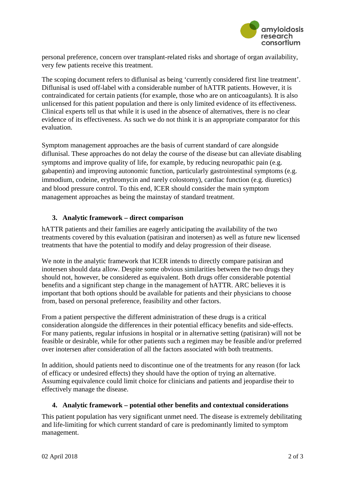

personal preference, concern over transplant-related risks and shortage of organ availability, very few patients receive this treatment.

The scoping document refers to diflunisal as being 'currently considered first line treatment'. Diflunisal is used off-label with a considerable number of hATTR patients. However, it is contraindicated for certain patients (for example, those who are on anticoagulants). It is also unlicensed for this patient population and there is only limited evidence of its effectiveness. Clinical experts tell us that while it is used in the absence of alternatives, there is no clear evidence of its effectiveness. As such we do not think it is an appropriate comparator for this evaluation.

Symptom management approaches are the basis of current standard of care alongside diflunisal. These approaches do not delay the course of the disease but can alleviate disabling symptoms and improve quality of life, for example, by reducing neuropathic pain (e.g. gabapentin) and improving autonomic function, particularly gastrointestinal symptoms (e.g. immodium, codeine, erythromycin and rarely colostomy), cardiac function (e.g. diuretics) and blood pressure control. To this end, ICER should consider the main symptom management approaches as being the mainstay of standard treatment.

# **3. Analytic framework – direct comparison**

hATTR patients and their families are eagerly anticipating the availability of the two treatments covered by this evaluation (patisiran and inotersen) as well as future new licensed treatments that have the potential to modify and delay progression of their disease.

We note in the analytic framework that ICER intends to directly compare patisiran and inotersen should data allow. Despite some obvious similarities between the two drugs they should not, however, be considered as equivalent. Both drugs offer considerable potential benefits and a significant step change in the management of hATTR. ARC believes it is important that both options should be available for patients and their physicians to choose from, based on personal preference, feasibility and other factors.

From a patient perspective the different administration of these drugs is a critical consideration alongside the differences in their potential efficacy benefits and side-effects. For many patients, regular infusions in hospital or in alternative setting (patisiran) will not be feasible or desirable, while for other patients such a regimen may be feasible and/or preferred over inotersen after consideration of all the factors associated with both treatments.

In addition, should patients need to discontinue one of the treatments for any reason (for lack of efficacy or undesired effects) they should have the option of trying an alternative. Assuming equivalence could limit choice for clinicians and patients and jeopardise their to effectively manage the disease.

# **4. Analytic framework – potential other benefits and contextual considerations**

This patient population has very significant unmet need. The disease is extremely debilitating and life-limiting for which current standard of care is predominantly limited to symptom management.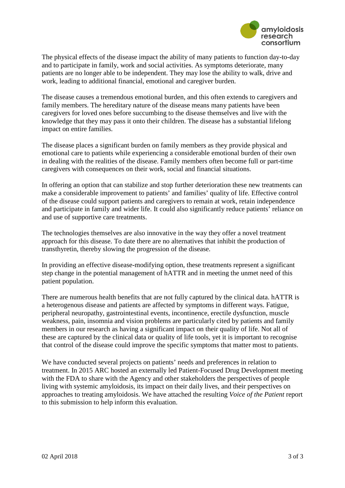

The physical effects of the disease impact the ability of many patients to function day-to-day and to participate in family, work and social activities. As symptoms deteriorate, many patients are no longer able to be independent. They may lose the ability to walk, drive and work, leading to additional financial, emotional and caregiver burden.

The disease causes a tremendous emotional burden, and this often extends to caregivers and family members. The hereditary nature of the disease means many patients have been caregivers for loved ones before succumbing to the disease themselves and live with the knowledge that they may pass it onto their children. The disease has a substantial lifelong impact on entire families.

The disease places a significant burden on family members as they provide physical and emotional care to patients while experiencing a considerable emotional burden of their own in dealing with the realities of the disease. Family members often become full or part-time caregivers with consequences on their work, social and financial situations.

In offering an option that can stabilize and stop further deterioration these new treatments can make a considerable improvement to patients' and families' quality of life. Effective control of the disease could support patients and caregivers to remain at work, retain independence and participate in family and wider life. It could also significantly reduce patients' reliance on and use of supportive care treatments.

The technologies themselves are also innovative in the way they offer a novel treatment approach for this disease. To date there are no alternatives that inhibit the production of transthyretin, thereby slowing the progression of the disease.

In providing an effective disease-modifying option, these treatments represent a significant step change in the potential management of hATTR and in meeting the unmet need of this patient population.

There are numerous health benefits that are not fully captured by the clinical data. hATTR is a heterogenous disease and patients are affected by symptoms in different ways. Fatigue, peripheral neuropathy, gastrointestinal events, incontinence, erectile dysfunction, muscle weakness, pain, insomnia and vision problems are particularly cited by patients and family members in our research as having a significant impact on their quality of life. Not all of these are captured by the clinical data or quality of life tools, yet it is important to recognise that control of the disease could improve the specific symptoms that matter most to patients.

We have conducted several projects on patients' needs and preferences in relation to treatment. In 2015 ARC hosted an externally led Patient-Focused Drug Development meeting with the FDA to share with the Agency and other stakeholders the perspectives of people living with systemic amyloidosis, its impact on their daily lives, and their perspectives on approaches to treating amyloidosis. We have attached the resulting *Voice of the Patient* report to this submission to help inform this evaluation.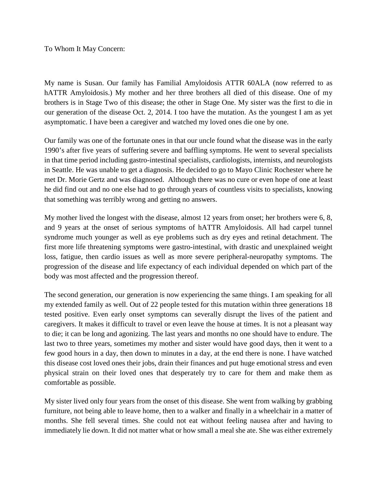To Whom It May Concern:

My name is Susan. Our family has Familial Amyloidosis ATTR 60ALA (now referred to as hATTR Amyloidosis.) My mother and her three brothers all died of this disease. One of my brothers is in Stage Two of this disease; the other in Stage One. My sister was the first to die in our generation of the disease Oct. 2, 2014. I too have the mutation. As the youngest I am as yet asymptomatic. I have been a caregiver and watched my loved ones die one by one.

Our family was one of the fortunate ones in that our uncle found what the disease was in the early 1990's after five years of suffering severe and baffling symptoms. He went to several specialists in that time period including gastro-intestinal specialists, cardiologists, internists, and neurologists in Seattle. He was unable to get a diagnosis. He decided to go to Mayo Clinic Rochester where he met Dr. Morie Gertz and was diagnosed. Although there was no cure or even hope of one at least he did find out and no one else had to go through years of countless visits to specialists, knowing that something was terribly wrong and getting no answers.

My mother lived the longest with the disease, almost 12 years from onset; her brothers were 6, 8, and 9 years at the onset of serious symptoms of hATTR Amyloidosis. All had carpel tunnel syndrome much younger as well as eye problems such as dry eyes and retinal detachment. The first more life threatening symptoms were gastro-intestinal, with drastic and unexplained weight loss, fatigue, then cardio issues as well as more severe peripheral-neuropathy symptoms. The progression of the disease and life expectancy of each individual depended on which part of the body was most affected and the progression thereof.

The second generation, our generation is now experiencing the same things. I am speaking for all my extended family as well. Out of 22 people tested for this mutation within three generations 18 tested positive. Even early onset symptoms can severally disrupt the lives of the patient and caregivers. It makes it difficult to travel or even leave the house at times. It is not a pleasant way to die; it can be long and agonizing. The last years and months no one should have to endure. The last two to three years, sometimes my mother and sister would have good days, then it went to a few good hours in a day, then down to minutes in a day, at the end there is none. I have watched this disease cost loved ones their jobs, drain their finances and put huge emotional stress and even physical strain on their loved ones that desperately try to care for them and make them as comfortable as possible.

My sister lived only four years from the onset of this disease. She went from walking by grabbing furniture, not being able to leave home, then to a walker and finally in a wheelchair in a matter of months. She fell several times. She could not eat without feeling nausea after and having to immediately lie down. It did not matter what or how small a meal she ate. She was either extremely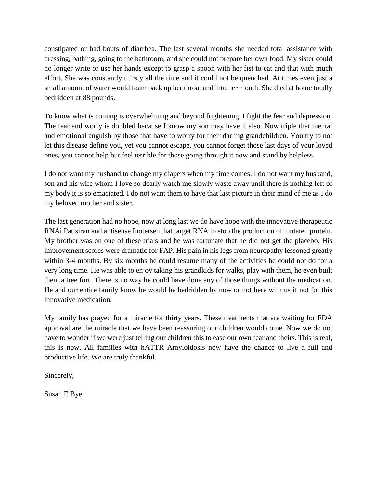constipated or had bouts of diarrhea. The last several months she needed total assistance with dressing, bathing, going to the bathroom, and she could not prepare her own food. My sister could no longer write or use her hands except to grasp a spoon with her fist to eat and that with much effort. She was constantly thirsty all the time and it could not be quenched. At times even just a small amount of water would foam back up her throat and into her mouth. She died at home totally bedridden at 88 pounds.

To know what is coming is overwhelming and beyond frightening. I fight the fear and depression. The fear and worry is doubled because I know my son may have it also. Now triple that mental and emotional anguish by those that have to worry for their darling grandchildren. You try to not let this disease define you, yet you cannot escape, you cannot forget those last days of your loved ones, you cannot help but feel terrible for those going through it now and stand by helpless.

I do not want my husband to change my diapers when my time comes. I do not want my husband, son and his wife whom I love so dearly watch me slowly waste away until there is nothing left of my body it is so emaciated. I do not want them to have that last picture in their mind of me as I do my beloved mother and sister.

The last generation had no hope, now at long last we do have hope with the innovative therapeutic RNAi Patisiran and antisense Inotersen that target RNA to stop the production of mutated protein. My brother was on one of these trials and he was fortunate that he did not get the placebo. His improvement scores were dramatic for FAP. His pain in his legs from neuropathy lessoned greatly within 3-4 months. By six months he could resume many of the activities he could not do for a very long time. He was able to enjoy taking his grandkids for walks, play with them, he even built them a tree fort. There is no way he could have done any of those things without the medication. He and our entire family know he would be bedridden by now or not here with us if not for this innovative medication.

My family has prayed for a miracle for thirty years. These treatments that are waiting for FDA approval are the miracle that we have been reassuring our children would come. Now we do not have to wonder if we were just telling our children this to ease our own fear and theirs. This is real, this is now. All families with hATTR Amyloidosis now have the chance to live a full and productive life. We are truly thankful.

Sincerely,

Susan E Bye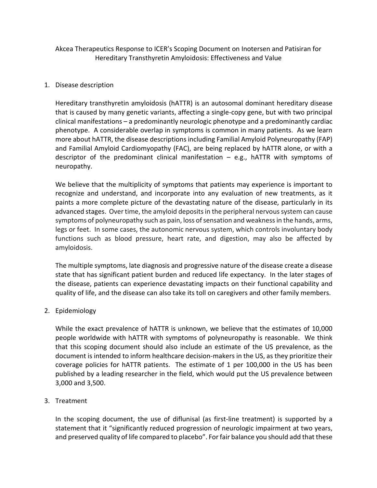Akcea Therapeutics Response to ICER's Scoping Document on Inotersen and Patisiran for Hereditary Transthyretin Amyloidosis: Effectiveness and Value

### 1. Disease description

Hereditary transthyretin amyloidosis (hATTR) is an autosomal dominant hereditary disease that is caused by many genetic variants, affecting a single-copy gene, but with two principal clinical manifestations – a predominantly neurologic phenotype and a predominantly cardiac phenotype. A considerable overlap in symptoms is common in many patients. As we learn more about hATTR, the disease descriptions including Familial Amyloid Polyneuropathy (FAP) and Familial Amyloid Cardiomyopathy (FAC), are being replaced by hATTR alone, or with a descriptor of the predominant clinical manifestation – e.g., hATTR with symptoms of neuropathy.

We believe that the multiplicity of symptoms that patients may experience is important to recognize and understand, and incorporate into any evaluation of new treatments, as it paints a more complete picture of the devastating nature of the disease, particularly in its advanced stages. Over time, the amyloid deposits in the peripheral nervous system can cause symptoms of polyneuropathy such as pain, loss of sensation and weakness in the hands, arms, legs or feet. In some cases, the autonomic nervous system, which controls involuntary body functions such as blood pressure, heart rate, and digestion, may also be affected by amyloidosis.

The multiple symptoms, late diagnosis and progressive nature of the disease create a disease state that has significant patient burden and reduced life expectancy. In the later stages of the disease, patients can experience devastating impacts on their functional capability and quality of life, and the disease can also take its toll on caregivers and other family members.

# 2. Epidemiology

While the exact prevalence of hATTR is unknown, we believe that the estimates of 10,000 people worldwide with hATTR with symptoms of polyneuropathy is reasonable. We think that this scoping document should also include an estimate of the US prevalence, as the document is intended to inform healthcare decision-makers in the US, as they prioritize their coverage policies for hATTR patients. The estimate of 1 per 100,000 in the US has been published by a leading researcher in the field, which would put the US prevalence between 3,000 and 3,500.

# 3. Treatment

In the scoping document, the use of diflunisal (as first-line treatment) is supported by a statement that it "significantly reduced progression of neurologic impairment at two years, and preserved quality of life compared to placebo". For fair balance you should add that these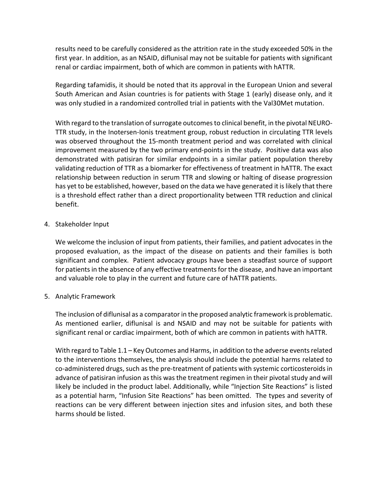results need to be carefully considered as the attrition rate in the study exceeded 50% in the first year. In addition, as an NSAID, diflunisal may not be suitable for patients with significant renal or cardiac impairment, both of which are common in patients with hATTR.

Regarding tafamidis, it should be noted that its approval in the European Union and several South American and Asian countries is for patients with Stage 1 (early) disease only, and it was only studied in a randomized controlled trial in patients with the Val30Met mutation.

With regard to the translation of surrogate outcomes to clinical benefit, in the pivotal NEURO-TTR study, in the Inotersen-Ionis treatment group, robust reduction in circulating TTR levels was observed throughout the 15-month treatment period and was correlated with clinical improvement measured by the two primary end-points in the study. Positive data was also demonstrated with patisiran for similar endpoints in a similar patient population thereby validating reduction of TTR as a biomarker for effectiveness of treatment in hATTR. The exact relationship between reduction in serum TTR and slowing or halting of disease progression has yet to be established, however, based on the data we have generated it is likely that there is a threshold effect rather than a direct proportionality between TTR reduction and clinical benefit.

### 4. Stakeholder Input

We welcome the inclusion of input from patients, their families, and patient advocates in the proposed evaluation, as the impact of the disease on patients and their families is both significant and complex. Patient advocacy groups have been a steadfast source of support for patients in the absence of any effective treatments for the disease, and have an important and valuable role to play in the current and future care of hATTR patients.

#### 5. Analytic Framework

The inclusion of diflunisal as a comparator in the proposed analytic framework is problematic. As mentioned earlier, diflunisal is and NSAID and may not be suitable for patients with significant renal or cardiac impairment, both of which are common in patients with hATTR.

With regard to Table 1.1 – Key Outcomes and Harms, in addition to the adverse events related to the interventions themselves, the analysis should include the potential harms related to co-administered drugs, such as the pre-treatment of patients with systemic corticosteroids in advance of patisiran infusion as this was the treatment regimen in their pivotal study and will likely be included in the product label. Additionally, while "Injection Site Reactions" is listed as a potential harm, "Infusion Site Reactions" has been omitted. The types and severity of reactions can be very different between injection sites and infusion sites, and both these harms should be listed.